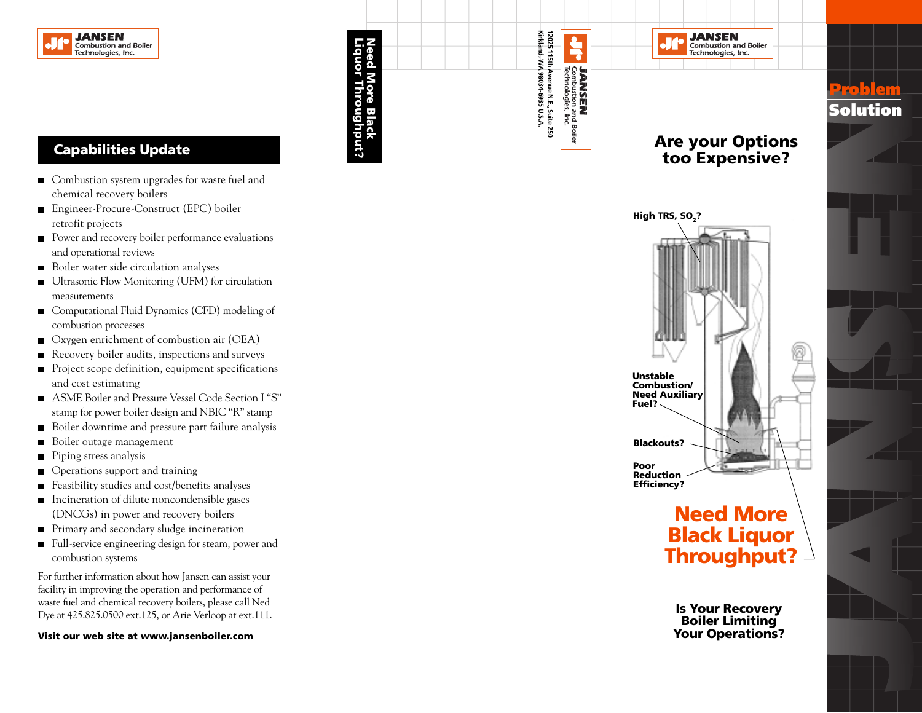

### **Capabilities Update**

- Combustion system upgrades for waste fuel and chemical recovery boilers
- Engineer-Procure-Construct (EPC) boiler retrofit projects
- Power and recovery boiler performance evaluations and operational reviews
- Boiler water side circulation analyses
- Ultrasonic Flow Monitoring (UFM) for circulation measurements
- Computational Fluid Dynamics (CFD) modeling of combustion processes
- Oxygen enrichment of combustion air (OEA)
- Recovery boiler audits, inspections and surveys  $\blacksquare$
- Project scope definition, equipment specifications and cost estimating
- ASME Boiler and Pressure Vessel Code Section I "S" stamp for power boiler design and NBIC "R" stamp
- Boiler downtime and pressure part failure analysis
- Boiler outage management
- Piping stress analysis
- Operations support and training
- Feasibility studies and cost/benefits analyses
- Incineration of dilute noncondensible gases (DNCGs) in power and recovery boilers
- **Primary and secondary sludge incineration**
- Full-service engineering design for steam, power and combustion systems

For further information about how Jansen can assist your facility in improving the operation and performance of waste fuel and chemical recovery boilers, please call Ned Dye at 425.825.0500 ext.125, or Arie Verloop at ext.111.

**Visit our web site at www.jansenboiler.com**





## **Need More Black Liquor Throughput?**

**Is Your Recovery Boiler Limiting Your Operations?**